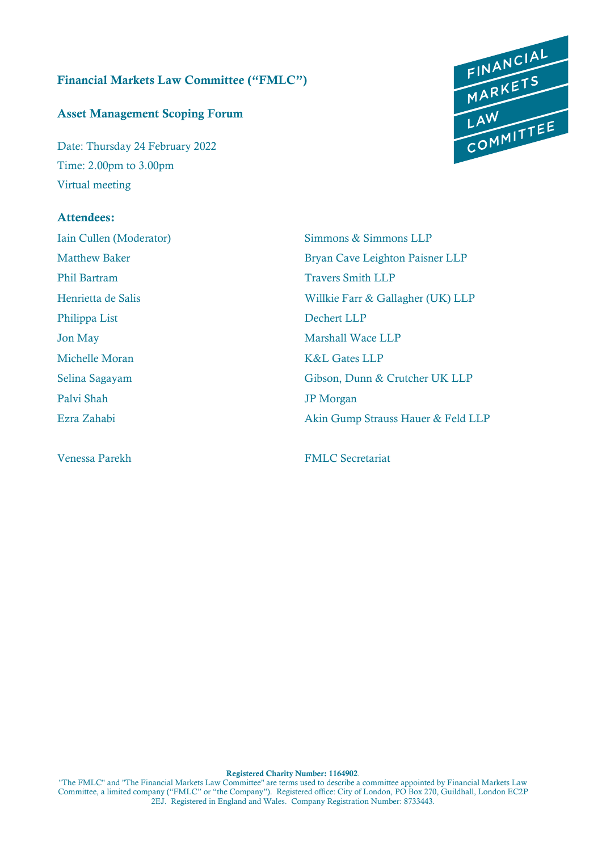### Financial Markets Law Committee ("FMLC")

### Asset Management Scoping Forum

Date: Thursday 24 February 2022 Time: 2.00pm to 3.00pm Virtual meeting

# Attendees:

Phil Bartram Travers Smith LLP Philippa List Dechert LLP Jon May Marshall Wace LLP Michelle Moran K&L Gates LLP Palvi Shah JP Morgan



Iain Cullen (Moderator) Simmons & Simmons LLP Matthew Baker Bryan Cave Leighton Paisner LLP Henrietta de Salis Willkie Farr & Gallagher (UK) LLP Selina Sagayam Gibson, Dunn & Crutcher UK LLP Ezra Zahabi Akin Gump Strauss Hauer & Feld LLP

Venessa Parekh FMLC Secretariat

Registered Charity Number: 1164902.

"The FMLC" and "The Financial Markets Law Committee" are terms used to describe a committee appointed by Financial Markets Law Committee, a limited company ("FMLC" or "the Company"). Registered office: City of London, PO Box 270, Guildhall, London EC2P 2EJ. Registered in England and Wales. Company Registration Number: 8733443.